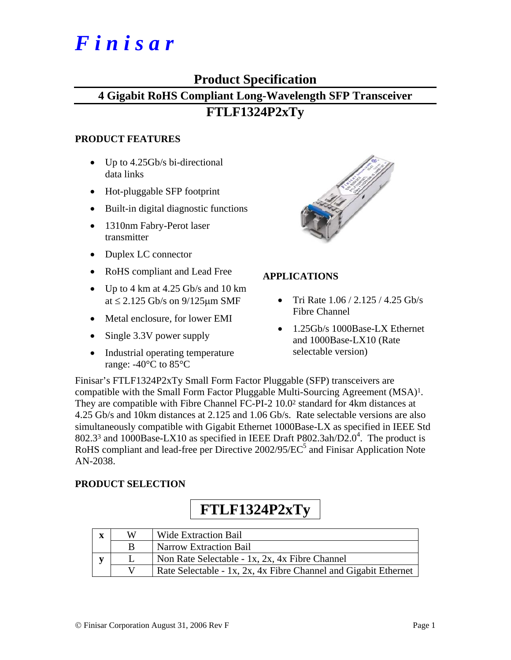# *F i n i s a r*

# **Product Specification**

# **4 Gigabit RoHS Compliant Long-Wavelength SFP Transceiver**

# **FTLF1324P2xTy**

## **PRODUCT FEATURES**

- Up to 4.25Gb/s bi-directional data links
- Hot-pluggable SFP footprint
- Built-in digital diagnostic functions
- 1310nm Fabry-Perot laser transmitter
- Duplex LC connector
- RoHS compliant and Lead Free
- Up to 4 km at 4.25 Gb/s and 10 km at  $\leq$  2.125 Gb/s on 9/125 $\mu$ m SMF
- Metal enclosure, for lower EMI
- Single 3.3V power supply
- Industrial operating temperature range: -40°C to 85°C



# **APPLICATIONS**

- Tri Rate 1.06 / 2.125 / 4.25 Gb/s Fibre Channel
- 1.25Gb/s 1000Base-LX Ethernet and 1000Base-LX10 (Rate selectable version)

Finisar's FTLF1324P2xTy Small Form Factor Pluggable (SFP) transceivers are compatible with the Small Form Factor Pluggable Multi-Sourcing Agreement (MSA)1. They are compatible with Fibre Channel FC-PI-2 10.02 standard for 4km distances at 4.25 Gb/s and 10km distances at 2.125 and 1.06 Gb/s. Rate selectable versions are also simultaneously compatible with Gigabit Ethernet 1000Base-LX as specified in IEEE Std 802.3<sup>3</sup> and 1000Base-LX10 as specified in IEEE Draft P802.3ah/D2.0<sup>4</sup>. The product is RoHS compliant and lead-free per Directive 2002/95/EC<sup>5</sup> and Finisar Application Note AN-2038.

## **PRODUCT SELECTION**

# **FTLF1324P2xTy**

| X | W | Wide Extraction Bail                                            |
|---|---|-----------------------------------------------------------------|
|   | B | Narrow Extraction Bail                                          |
|   |   | Non Rate Selectable - 1x, 2x, 4x Fibre Channel                  |
|   |   | Rate Selectable - 1x, 2x, 4x Fibre Channel and Gigabit Ethernet |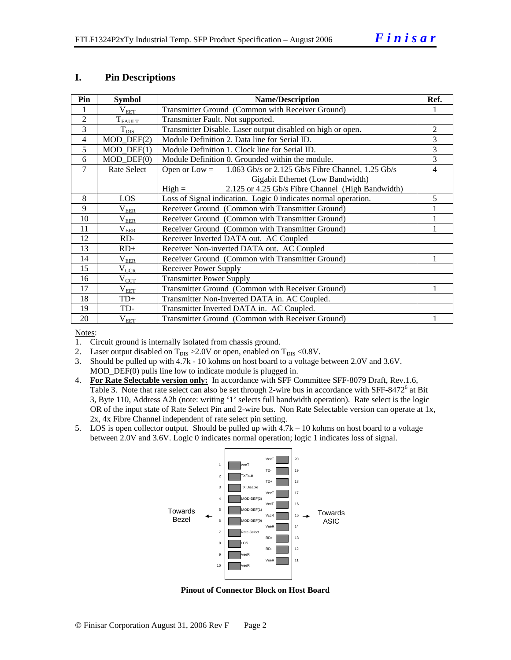#### **I. Pin Descriptions**

| Pin            | <b>Symbol</b>               | <b>Name/Description</b>                                              |   |  |  |  |  |
|----------------|-----------------------------|----------------------------------------------------------------------|---|--|--|--|--|
|                | $\rm V_{EET}$               | Transmitter Ground (Common with Receiver Ground)                     |   |  |  |  |  |
| $\overline{2}$ | $T_{FAULT}$                 | Transmitter Fault. Not supported.                                    |   |  |  |  |  |
| 3              | $T_{\rm DIS}$               | Transmitter Disable. Laser output disabled on high or open.          | 2 |  |  |  |  |
| $\overline{4}$ | $MOD_$ DEF $(2)$            | Module Definition 2. Data line for Serial ID.                        | 3 |  |  |  |  |
| 5              | $MOD_$ <del>DEF</del> $(1)$ | Module Definition 1. Clock line for Serial ID.                       | 3 |  |  |  |  |
| 6              | $MOD$ $DEF(0)$              | Module Definition 0. Grounded within the module.                     | 3 |  |  |  |  |
| 7              | Rate Select                 | 1.063 Gb/s or 2.125 Gb/s Fibre Channel, 1.25 Gb/s<br>Open or $Low =$ | 4 |  |  |  |  |
|                |                             | Gigabit Ethernet (Low Bandwidth)                                     |   |  |  |  |  |
|                |                             | 2.125 or 4.25 Gb/s Fibre Channel (High Bandwidth)<br>$High =$        |   |  |  |  |  |
| 8              | <b>LOS</b>                  | Loss of Signal indication. Logic 0 indicates normal operation.       | 5 |  |  |  |  |
| 9              | $\rm V_{\rm EER}$           | Receiver Ground (Common with Transmitter Ground)                     |   |  |  |  |  |
| 10             | $\rm V_{EER}$               | Receiver Ground (Common with Transmitter Ground)                     |   |  |  |  |  |
| 11             | $\rm V_{EER}$               | Receiver Ground (Common with Transmitter Ground)                     |   |  |  |  |  |
| 12             | RD-                         | Receiver Inverted DATA out. AC Coupled                               |   |  |  |  |  |
| 13             | $RD+$                       | Receiver Non-inverted DATA out. AC Coupled                           |   |  |  |  |  |
| 14             | $\rm V_{EER}$               | Receiver Ground (Common with Transmitter Ground)                     |   |  |  |  |  |
| 15             | $\rm V_{CCR}$               | <b>Receiver Power Supply</b>                                         |   |  |  |  |  |
| 16             | $\rm V_{CCT}$               | <b>Transmitter Power Supply</b>                                      |   |  |  |  |  |
| 17             | $\rm V_{EET}$               | Transmitter Ground (Common with Receiver Ground)                     |   |  |  |  |  |
| 18             | $TD+$                       | Transmitter Non-Inverted DATA in. AC Coupled.                        |   |  |  |  |  |
| 19             | TD-                         | Transmitter Inverted DATA in. AC Coupled.                            |   |  |  |  |  |
| 20             | $\rm V_{EET}$               | Transmitter Ground (Common with Receiver Ground)                     |   |  |  |  |  |

Notes:

- 1. Circuit ground is internally isolated from chassis ground.
- 2. Laser output disabled on  $T_{DIS} > 2.0V$  or open, enabled on  $T_{DIS} < 0.8V$ .
- 3. Should be pulled up with 4.7k 10 kohms on host board to a voltage between 2.0V and 3.6V. MOD\_DEF(0) pulls line low to indicate module is plugged in.
- 4. **For Rate Selectable version only:** In accordance with SFF Committee SFF-8079 Draft, Rev.1.6, Table 3. Note that rate select can also be set through 2-wire bus in accordance with SFF-8472<sup>6</sup> at Bit 3, Byte 110, Address A2h (note: writing '1' selects full bandwidth operation). Rate select is the logic OR of the input state of Rate Select Pin and 2-wire bus. Non Rate Selectable version can operate at 1x, 2x, 4x Fibre Channel independent of rate select pin setting.
- 5. LOS is open collector output. Should be pulled up with 4.7k 10 kohms on host board to a voltage between 2.0V and 3.6V. Logic 0 indicates normal operation; logic 1 indicates loss of signal.



**Pinout of Connector Block on Host Board**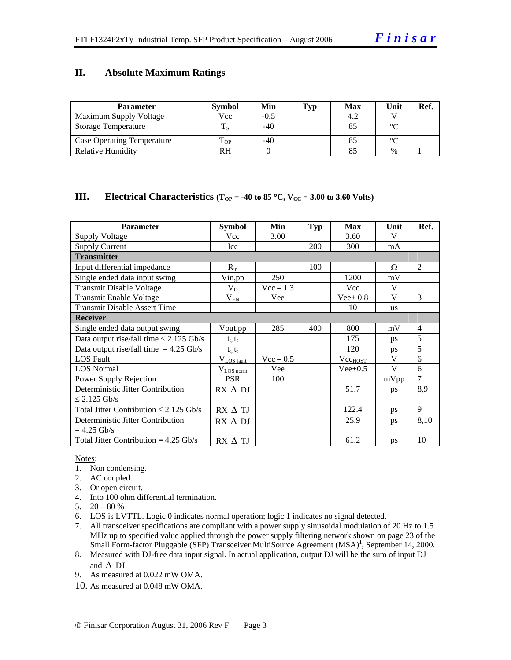#### **II. Absolute Maximum Ratings**

| <b>Parameter</b>                  | <b>Symbol</b> | Min    | <b>Typ</b> | Max | Unit   | Ref. |
|-----------------------------------|---------------|--------|------------|-----|--------|------|
| Maximum Supply Voltage            | Vcc           | $-0.5$ |            | 4.2 |        |      |
| Storage Temperature               |               | $-40$  |            |     | $\sim$ |      |
| <b>Case Operating Temperature</b> | m.<br>L OP    | -40    |            |     | $\sim$ |      |
| <b>Relative Humidity</b>          | RH            |        |            |     | $\%$   |      |

#### **III.** Electrical Characteristics ( $T_{OP} = -40$  to 85 °C,  $V_{CC} = 3.00$  to 3.60 Volts)

| <b>Parameter</b>                             | <b>Symbol</b>             | Min         | <b>Typ</b> | <b>Max</b>   | Unit      | Ref.           |
|----------------------------------------------|---------------------------|-------------|------------|--------------|-----------|----------------|
| <b>Supply Voltage</b>                        | Vcc                       | 3.00        |            | 3.60         | V         |                |
| <b>Supply Current</b>                        | Icc                       |             | 200        | 300          | mA        |                |
| <b>Transmitter</b>                           |                           |             |            |              |           |                |
| Input differential impedance                 | $R_{in}$                  |             | 100        |              | Ω         | $\mathfrak{D}$ |
| Single ended data input swing                | Vin,pp                    | 250         |            | 1200         | mV        |                |
| <b>Transmit Disable Voltage</b>              | $V_D$                     | $Vec-1.3$   |            | <b>Vcc</b>   | V         |                |
| Transmit Enable Voltage                      | $\rm V_{\rm EM}$          | Vee         |            | $Vee+0.8$    | V         | $\mathcal{F}$  |
| <b>Transmit Disable Assert Time</b>          |                           |             |            | 10           | <b>us</b> |                |
| <b>Receiver</b>                              |                           |             |            |              |           |                |
| Single ended data output swing               | Vout, pp                  | 285         | 400        | 800          | mV        | $\overline{4}$ |
| Data output rise/fall time $\leq$ 2.125 Gb/s | $t_{\rm r}$ , $t_{\rm f}$ |             |            | 175          | ps        | 5              |
| Data output rise/fall time $= 4.25$ Gb/s     | $t_r, t_f$                |             |            | 120          | ps        | 5              |
| <b>LOS Fault</b>                             | $V_{LOS \text{ fault}}$   | $Vec - 0.5$ |            | $Vec_{HOST}$ | V         | 6              |
| <b>LOS</b> Normal                            | $V_{LOS\,norm}$           | Vee         |            | $Vee+0.5$    | V         | 6              |
| Power Supply Rejection                       | <b>PSR</b>                | 100         |            |              | mVpp      | $\overline{7}$ |
| Deterministic Jitter Contribution            | $RX \Delta DI$            |             |            | 51.7         | ps        | 8,9            |
| $\leq$ 2.125 Gb/s                            |                           |             |            |              |           |                |
| Total Jitter Contribution $\leq 2.125$ Gb/s  | $RX \wedge TI$            |             |            | 122.4        | ps        | 9              |
| Deterministic Jitter Contribution            | $RX \Delta DI$            |             |            | 25.9         | ps        | 8,10           |
| $= 4.25$ Gb/s                                |                           |             |            |              |           |                |
| Total Jitter Contribution = $4.25$ Gb/s      | $RX \Delta TI$            |             |            | 61.2         | ps        | 10             |

#### Notes:

- 1. Non condensing.
- 2. AC coupled.
- 3. Or open circuit.
- 4. Into 100 ohm differential termination.
- 5.  $20 80 %$
- 6. LOS is LVTTL. Logic 0 indicates normal operation; logic 1 indicates no signal detected.
- 7. All transceiver specifications are compliant with a power supply sinusoidal modulation of 20 Hz to 1.5 MHz up to specified value applied through the power supply filtering network shown on page 23 of the Small Form-factor Pluggable (SFP) Transceiver MultiSource Agreement (MSA)<sup>1</sup>, September 14, 2000.
- 8. Measured with DJ-free data input signal. In actual application, output DJ will be the sum of input DJ and  $\triangle$  DJ.
- 9. As measured at 0.022 mW OMA.
- 10. As measured at 0.048 mW OMA.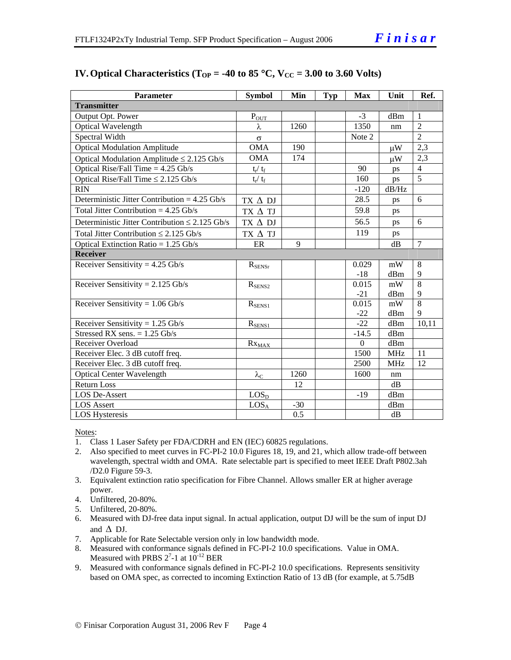| <b>Parameter</b>                                    | <b>Symbol</b>     | Min   | <b>Typ</b> | <b>Max</b>       | Unit       | Ref.           |
|-----------------------------------------------------|-------------------|-------|------------|------------------|------------|----------------|
| <b>Transmitter</b>                                  |                   |       |            |                  |            |                |
| Output Opt. Power                                   | $P_{OUT}$         |       |            | $-3$             | dBm        | $\mathbf{1}$   |
| Optical Wavelength                                  | λ                 | 1260  |            | 1350             | nm         | $\overline{2}$ |
| Spectral Width                                      | $\sigma$          |       |            | Note 2           |            | $\overline{2}$ |
| <b>Optical Modulation Amplitude</b>                 | <b>OMA</b>        | 190   |            |                  | $\mu$ W    | 2,3            |
| Optical Modulation Amplitude $\leq$ 2.125 Gb/s      | OMA               | 174   |            |                  | $\mu W$    | 2,3            |
| Optical Rise/Fall Time $= 4.25$ Gb/s                | $t_r / t_f$       |       |            | 90               | ps         | $\overline{4}$ |
| Optical Rise/Fall Time $\leq$ 2.125 Gb/s            | $t_r / t_f$       |       |            | 160              | ps         | $\overline{5}$ |
| <b>RIN</b>                                          |                   |       |            | $-120$           | dB/Hz      |                |
| Deterministic Jitter Contribution = $4.25$ Gb/s     | $TX \Delta$ DJ    |       |            | 28.5             | ps         | 6              |
| Total Jitter Contribution = $4.25$ Gb/s             | TX $\Delta$ TJ    |       |            | 59.8             | ps         |                |
| Deterministic Jitter Contribution $\leq 2.125$ Gb/s | $TX \Delta DI$    |       |            | 56.5             | ps         | 6              |
| Total Jitter Contribution $\leq 2.125$ Gb/s         | $TX \triangle TI$ |       |            | 119              | ps         |                |
| Optical Extinction Ratio = $1.25$ Gb/s              | ER                | 9     |            |                  | dB         | $\overline{7}$ |
| <b>Receiver</b>                                     |                   |       |            |                  |            |                |
| Receiver Sensitivity = $4.25$ Gb/s                  | $R_{\rm SENSr}$   |       |            | 0.029            | mW         | 8              |
|                                                     |                   |       |            | $-18$            | dBm        | 9              |
| Receiver Sensitivity = $2.125$ Gb/s                 | $R_{SENS2}$       |       |            | 0.015            | mW         | $\overline{8}$ |
|                                                     |                   |       |            | $-21$            | dBm        | 9              |
| Receiver Sensitivity = $1.06$ Gb/s                  | $R_{SENS1}$       |       |            | 0.015            | mW         | $\overline{8}$ |
|                                                     |                   |       |            | $-22$            | dBm        | 9              |
| Receiver Sensitivity = $1.25$ Gb/s                  | $R_{SENS1}$       |       |            | $-22$            | dBm        | 10,11          |
| Stressed RX sens. = $1.25$ Gb/s                     |                   |       |            | $-14.5$          | dBm        |                |
| Receiver Overload                                   | $Rx_{MAX}$        |       |            | $\boldsymbol{0}$ | dBm        |                |
| Receiver Elec. 3 dB cutoff freq.                    |                   |       |            | 1500             | <b>MHz</b> | 11             |
| Receiver Elec. 3 dB cutoff freq.                    |                   |       |            | 2500             | <b>MHz</b> | 12             |
| Optical Center Wavelength                           | $\lambda_{\rm C}$ | 1260  |            | 1600             | nm         |                |
| <b>Return Loss</b>                                  |                   | 12    |            |                  | dB         |                |
| <b>LOS De-Assert</b>                                | LOS <sub>D</sub>  |       |            | $-19$            | dBm        |                |
| <b>LOS</b> Assert                                   | LOS <sub>A</sub>  | $-30$ |            |                  | dBm        |                |
| <b>LOS Hysteresis</b>                               |                   | 0.5   |            |                  | dB         |                |

## **IV. Optical Characteristics (T<sub>OP</sub> = -40 to 85 °C, V<sub>CC</sub> = 3.00 to 3.60 Volts)**

Notes:

- 1. Class 1 Laser Safety per FDA/CDRH and EN (IEC) 60825 regulations.
- 2. Also specified to meet curves in FC-PI-2 10.0 Figures 18, 19, and 21, which allow trade-off between wavelength, spectral width and OMA. Rate selectable part is specified to meet IEEE Draft P802.3ah /D2.0 Figure 59-3.
- 3. Equivalent extinction ratio specification for Fibre Channel. Allows smaller ER at higher average power.
- 4. Unfiltered, 20-80%.
- 5. Unfiltered, 20-80%.
- 6. Measured with DJ-free data input signal. In actual application, output DJ will be the sum of input DJ and  $\Delta$  DJ.
- 7. Applicable for Rate Selectable version only in low bandwidth mode.
- 8. Measured with conformance signals defined in FC-PI-2 10.0 specifications. Value in OMA. Measured with PRBS  $2^7$ -1 at  $10^{-12}$  BER
- 9. Measured with conformance signals defined in FC-PI-2 10.0 specifications. Represents sensitivity based on OMA spec, as corrected to incoming Extinction Ratio of 13 dB (for example, at 5.75dB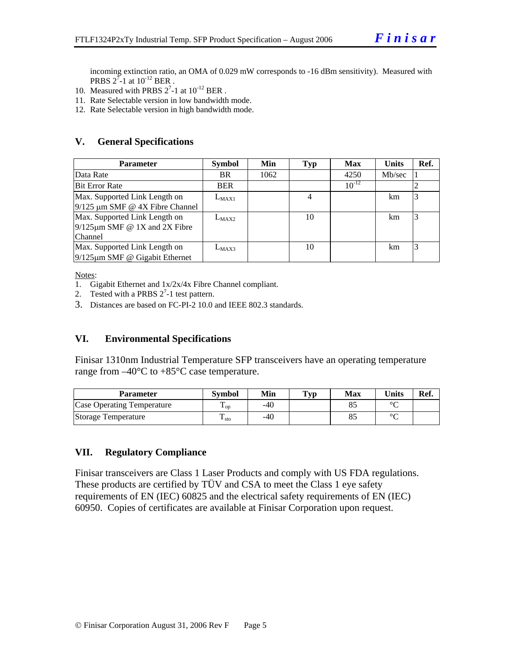incoming extinction ratio, an OMA of 0.029 mW corresponds to -16 dBm sensitivity). Measured with **PRBS**  $2^7$ -1 at  $10^{-12}$  BER.

- 10. Measured with PRBS  $2^7$ -1 at  $10^{-12}$  BER.
- 11. Rate Selectable version in low bandwidth mode.
- 12. Rate Selectable version in high bandwidth mode.

#### **V. General Specifications**

| <b>Parameter</b>                                                                | <b>Symbol</b> | Min  | Typ | <b>Max</b> | <b>Units</b> | Ref. |
|---------------------------------------------------------------------------------|---------------|------|-----|------------|--------------|------|
| Data Rate                                                                       | BR.           | 1062 |     | 4250       | Mb/sec       |      |
| <b>Bit Error Rate</b>                                                           | <b>BER</b>    |      |     | $10^{-12}$ |              |      |
| Max. Supported Link Length on<br>$9/125 \mu m$ SMF @ 4X Fibre Channel           | $L_{MAX1}$    |      | 4   |            | km           |      |
| Max. Supported Link Length on<br>$9/125 \mu m$ SMF @ 1X and 2X Fibre<br>Channel | $L_{MAX2}$    |      | 10  |            | km.          |      |
| Max. Supported Link Length on<br>$9/125 \mu m$ SMF @ Gigabit Ethernet           | $L_{MAX3}$    |      | 10  |            | km.          |      |

Notes:

- 1. Gigabit Ethernet and 1x/2x/4x Fibre Channel compliant.
- 2. Tested with a PRBS  $2^7$ -1 test pattern.
- 3. Distances are based on FC-PI-2 10.0 and IEEE 802.3 standards.

#### **VI. Environmental Specifications**

Finisar 1310nm Industrial Temperature SFP transceivers have an operating temperature range from  $-40^{\circ}$ C to  $+85^{\circ}$ C case temperature.

| <b>Parameter</b>                  | <b>Symbol</b>          | Min | $\mathbf{Typ}$ | Max | <b>I</b> nits | Ref. |
|-----------------------------------|------------------------|-----|----------------|-----|---------------|------|
| <b>Case Operating Temperature</b> | Ē<br>$\mathbf{L}_{OD}$ | -40 |                |     | $\sim$        |      |
| Storage Temperature               | m<br>$\frac{1}{1}$ sto | -40 |                |     | $\sim$        |      |

#### **VII. Regulatory Compliance**

Finisar transceivers are Class 1 Laser Products and comply with US FDA regulations. These products are certified by TÜV and CSA to meet the Class 1 eye safety requirements of EN (IEC) 60825 and the electrical safety requirements of EN (IEC) 60950. Copies of certificates are available at Finisar Corporation upon request.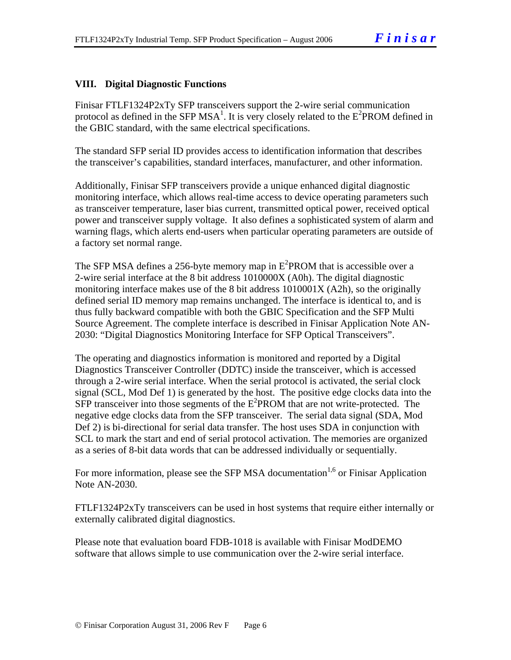### **VIII. Digital Diagnostic Functions**

Finisar FTLF1324P2xTy SFP transceivers support the 2-wire serial communication protocol as defined in the SFP MSA<sup>1</sup>. It is very closely related to the  $E^2$ PROM defined in the GBIC standard, with the same electrical specifications.

The standard SFP serial ID provides access to identification information that describes the transceiver's capabilities, standard interfaces, manufacturer, and other information.

Additionally, Finisar SFP transceivers provide a unique enhanced digital diagnostic monitoring interface, which allows real-time access to device operating parameters such as transceiver temperature, laser bias current, transmitted optical power, received optical power and transceiver supply voltage. It also defines a sophisticated system of alarm and warning flags, which alerts end-users when particular operating parameters are outside of a factory set normal range.

The SFP MSA defines a 256-byte memory map in  $E^2$ PROM that is accessible over a 2-wire serial interface at the 8 bit address 1010000X (A0h). The digital diagnostic monitoring interface makes use of the 8 bit address 1010001X (A2h), so the originally defined serial ID memory map remains unchanged. The interface is identical to, and is thus fully backward compatible with both the GBIC Specification and the SFP Multi Source Agreement. The complete interface is described in Finisar Application Note AN-2030: "Digital Diagnostics Monitoring Interface for SFP Optical Transceivers".

The operating and diagnostics information is monitored and reported by a Digital Diagnostics Transceiver Controller (DDTC) inside the transceiver, which is accessed through a 2-wire serial interface. When the serial protocol is activated, the serial clock signal (SCL, Mod Def 1) is generated by the host. The positive edge clocks data into the  $SFP$  transceiver into those segments of the  $E^2$ PROM that are not write-protected. The negative edge clocks data from the SFP transceiver. The serial data signal (SDA, Mod Def 2) is bi-directional for serial data transfer. The host uses SDA in conjunction with SCL to mark the start and end of serial protocol activation. The memories are organized as a series of 8-bit data words that can be addressed individually or sequentially.

For more information, please see the SFP MSA documentation<sup>1,6</sup> or Finisar Application Note AN-2030.

FTLF1324P2xTy transceivers can be used in host systems that require either internally or externally calibrated digital diagnostics.

Please note that evaluation board FDB-1018 is available with Finisar ModDEMO software that allows simple to use communication over the 2-wire serial interface.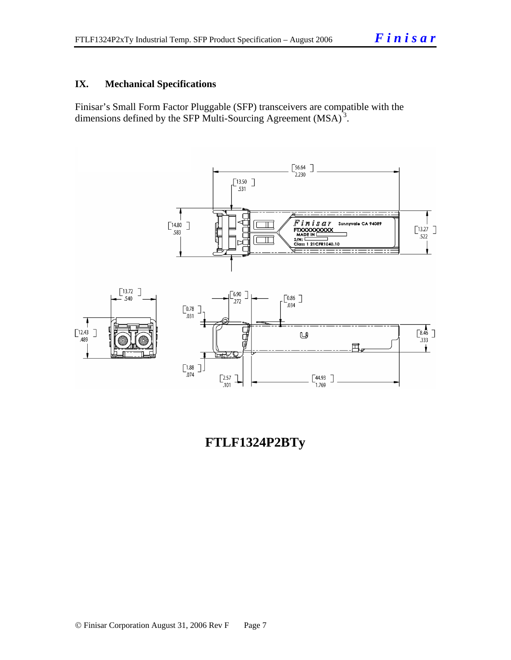## **IX. Mechanical Specifications**

Finisar's Small Form Factor Pluggable (SFP) transceivers are compatible with the dimensions defined by the SFP Multi-Sourcing Agreement (MSA)<sup>3</sup>.



# **FTLF1324P2BTy**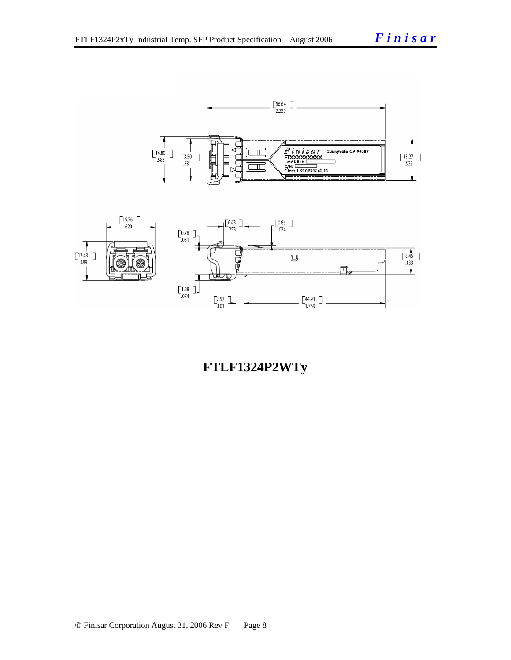



# **FTLF1324P2WTy**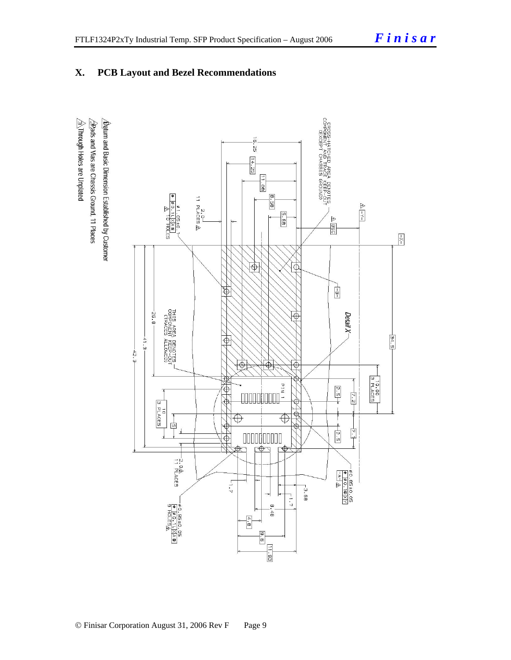## **X. PCB Layout and Bezel Recommendations**

 $\hat{\triangle}$ Through Holes are Unplated  $\Delta$  for and Basic Dimension Established by Customer  $\sqrt{2}$ Rads and Vias are Chassis Ground, 11 Places

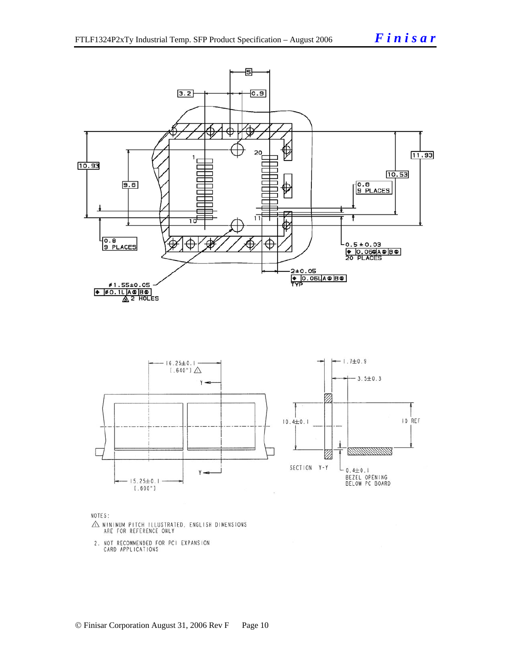



NOTES:

- $\triangle$  MINIMUM PITCH ILLUSTRATED, ENGLISH DIMENSIONS ARE FOR REFERENCE ONLY
- 2. NOT RECOMMENDED FOR PCI EXPANSION<br>CARD APPLICATIONS